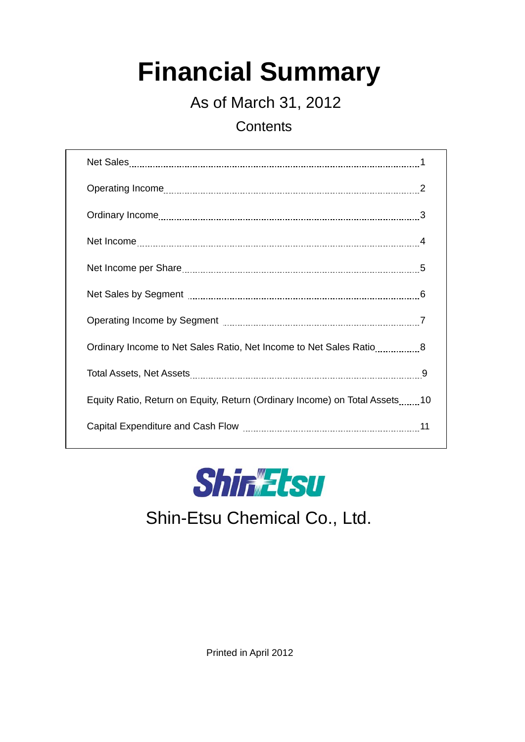# **Financial Summary**

As of March 31, 2012

**Contents** 

| Ordinary Income to Net Sales Ratio, Net Income to Net Sales Ratio8         |  |
|----------------------------------------------------------------------------|--|
|                                                                            |  |
| Equity Ratio, Return on Equity, Return (Ordinary Income) on Total Assets10 |  |
|                                                                            |  |



## Shin-Etsu Chemical Co., Ltd.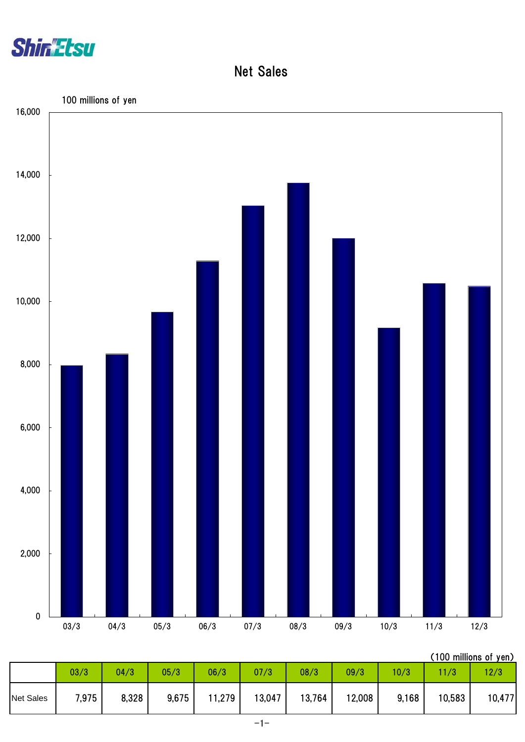

Net Sales



| (100 millions of yen) |  |
|-----------------------|--|
|                       |  |

|                  | 03/3  | 04/3  | 05/3  | 06/3   | 07/3   | 08/3   | 09/3   | 10/3  |        | 12/3   |
|------------------|-------|-------|-------|--------|--------|--------|--------|-------|--------|--------|
| <b>Net Sales</b> | 7,975 | 8,328 | 9,675 | 11,279 | 13,047 | 13,764 | 12,008 | 9,168 | 10,583 | 10,477 |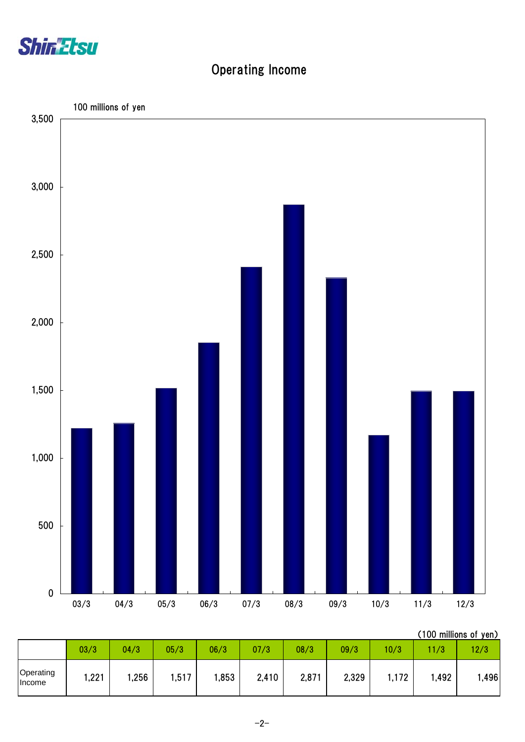

### Operating Income



| (100 millions of yen) |  |
|-----------------------|--|
|                       |  |

|                     | 03/3 | 04/3 | 05/3  | 06/3  | 07/3  | 08/3  | 09/3  | 10/3  | 1/3  | 12/3  |
|---------------------|------|------|-------|-------|-------|-------|-------|-------|------|-------|
| Operating<br>Income | ,221 | ,256 | 1,517 | 1,853 | 2,410 | 2,871 | 2,329 | I,172 | ,492 | 1,496 |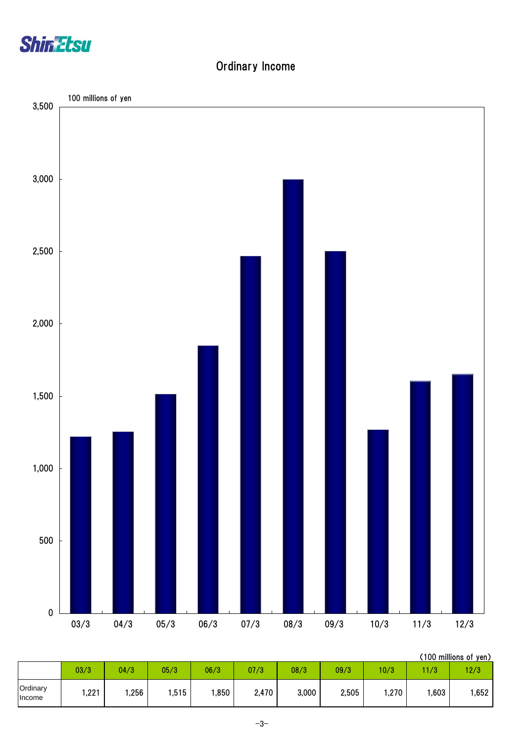

#### Ordinary Income



|                    |      |      |      |      |       |       |       |      |      | , וס טווטווווויטטון |
|--------------------|------|------|------|------|-------|-------|-------|------|------|---------------------|
|                    | 03/3 | 04/3 | 05/3 | 06/3 | 07/3  | 08/3  | 09/3  | 10/3 | 1/3  | 12/3                |
| Ordinary<br>Income | ,221 | ,256 | ,515 | ,850 | 2,470 | 3,000 | 2,505 | ,270 | ,603 | 1,652               |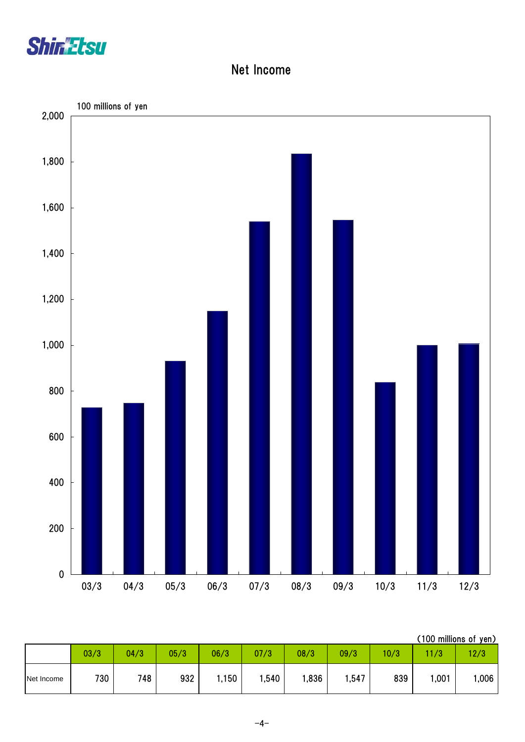

#### Net Income



| (100 millions of yen) |  |
|-----------------------|--|
|                       |  |

|            | 03/3 | 04/3 | 05/3 | 06/3  | 07/3  | 08/3 | 09/3  | 10/3 | 1/3  | 12/3 |
|------------|------|------|------|-------|-------|------|-------|------|------|------|
| Net Income | 730  | 748  | 932  | .,150 | I,540 | ,836 | , 547 | 839  | ,001 | ,006 |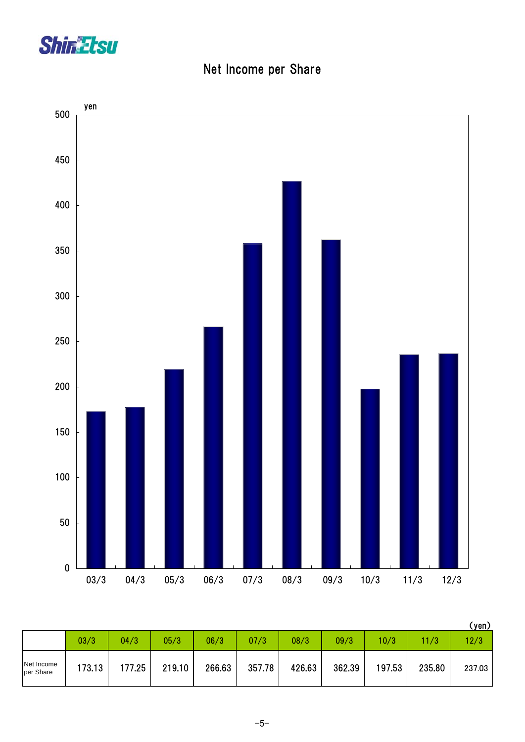

|  | Net Income per Share |  |  |
|--|----------------------|--|--|
|--|----------------------|--|--|



|                         |        |        |        |        |        |        |        |        |        | (yen)  |
|-------------------------|--------|--------|--------|--------|--------|--------|--------|--------|--------|--------|
|                         | 03/3   | 04/3   | 05/3   | 06/3   | 07/3   | 08/3   | 09/3   | 10/3   | 11/3   | 12/3   |
| Net Income<br>per Share | 173.13 | 177.25 | 219.10 | 266.63 | 357.78 | 426.63 | 362.39 | 197.53 | 235.80 | 237.03 |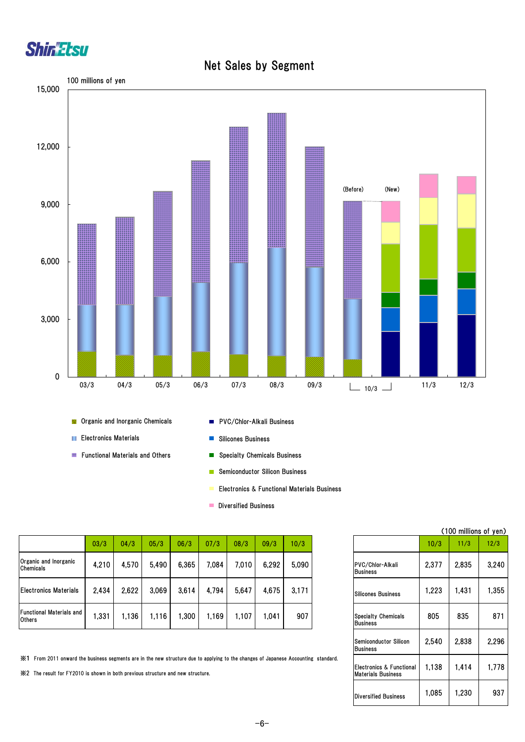

#### Net Sales by Segment



**Containing and Inorganic Chemicals** 

- **Electronics Materials**
- **Functional Materials and Others**
- **PVC/Chlor-Alkali Business**
- Silicones Business  $\blacksquare$
- Specialty Chemicals Business  $\mathcal{L}_{\mathcal{A}}$
- Semiconductor Silicon Business **TT**
- Electronics & Functional Materials Business
- **Diversified Business**

|                                                  | 03/3  | 04/3  | 05/3  | 06/3  | 07/3  | 08/3  | 09/3  | 10/3  |
|--------------------------------------------------|-------|-------|-------|-------|-------|-------|-------|-------|
| Organic and Inorganic<br><b>Chemicals</b>        | 4,210 | 4,570 | 5,490 | 6,365 | 7,084 | 7.010 | 6,292 | 5,090 |
| <b>Electronics Materials</b>                     | 2.434 | 2,622 | 3,069 | 3,614 | 4,794 | 5,647 | 4,675 | 3.171 |
| <b>Functional Materials and</b><br><b>Others</b> | 1,331 | 1.136 | l.116 | .300  | .169  | 107،، | .041  | 907   |

※1 From 2011 onward the business segments are in the new structure due to applying to the changes of Japanese Accounting standard.

※2 The result for FY2010 is shown in both previous structure and new structure.

|                                                       | (100 millions of yen) |       |       |  |  |  |  |  |  |
|-------------------------------------------------------|-----------------------|-------|-------|--|--|--|--|--|--|
|                                                       | 10/3                  | 11/3  | 12/3  |  |  |  |  |  |  |
| PVC/Chlor-Alkali<br><b>Business</b>                   | 2,377                 | 2,835 | 3,240 |  |  |  |  |  |  |
| <b>Silicones Business</b>                             | 1,223                 | 1,431 | 1,355 |  |  |  |  |  |  |
| <b>Specialty Chemicals</b><br><b>Business</b>         | 805                   | 835   | 871   |  |  |  |  |  |  |
| <b>Semiconductor Silicon</b><br>Business              | 2,540                 | 2,838 | 2.296 |  |  |  |  |  |  |
| Electronics & Functional<br><b>Materials Business</b> | 1,138                 | 1,414 | 1,778 |  |  |  |  |  |  |
| <b>Diversified Business</b>                           | 1,085                 | 1.230 | 937   |  |  |  |  |  |  |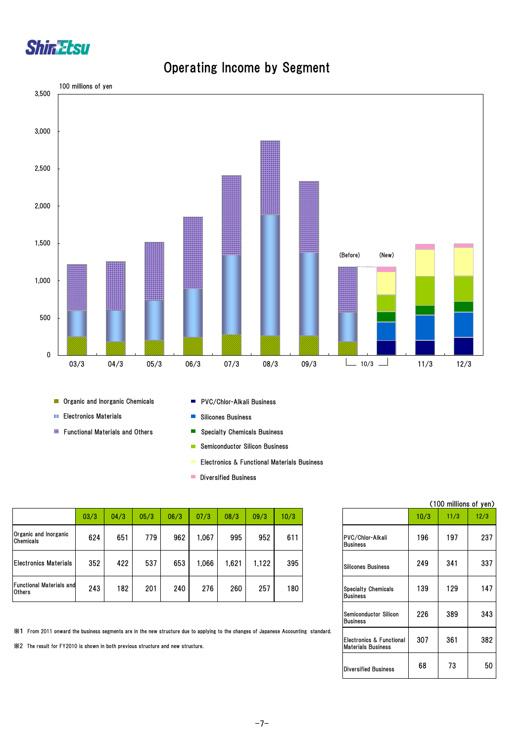



#### Operating Income by Segment

|                                                  |      |      |      |      |       |      |       |      |                                               |      |      | - - - - |
|--------------------------------------------------|------|------|------|------|-------|------|-------|------|-----------------------------------------------|------|------|---------|
|                                                  | 03/3 | 04/3 | 05/3 | 06/3 | 07/3  | 08/3 | 09/3  | 10/3 |                                               | 10/3 | 11/3 | 12/3    |
| Organic and Inorganic<br>Chemicals               | 624  | 651  | 779  | 962  | 067.ا | 995  | 952   | 611  | PVC/Chlor-Alkali<br><b>Business</b>           | 196  | 197  | 237     |
| <b>Electronics Materials</b>                     | 352  | 422  | 537  | 653  | 066.ا | .621 | 1.122 | 395  | Silicones Business                            | 249  | 341  | 337     |
| <b>Functional Materials and</b><br><b>Others</b> | 243  | 182  | 201  | 240  | 276   | 260  | 257   | 180  | <b>Specialty Chemicals</b><br><b>Business</b> | 139  | 129  | 147     |

※1 From 2011 onward the business segments are in the new structure due to applying to the changes of Japanese Accounting standard.

※2 The result for FY2010 is shown in both previous structure and new structure.

|                                                       |      | (100 millions of yen) |      |
|-------------------------------------------------------|------|-----------------------|------|
|                                                       | 10/3 | 11/3                  | 12/3 |
| PVC/Chlor-Alkali<br><b>Business</b>                   | 196  | 197                   | 237  |
| <b>Silicones Business</b>                             | 249  | 341                   | 337  |
| <b>Specialty Chemicals</b><br><b>Business</b>         | 139  | 129                   | 147  |
| Semiconductor Silicon<br>Business                     | 226  | 389                   | 343  |
| Electronics & Functional<br><b>Materials Business</b> | 307  | 361                   | 382  |
| <b>Diversified Business</b>                           | 68   | 73                    | 50   |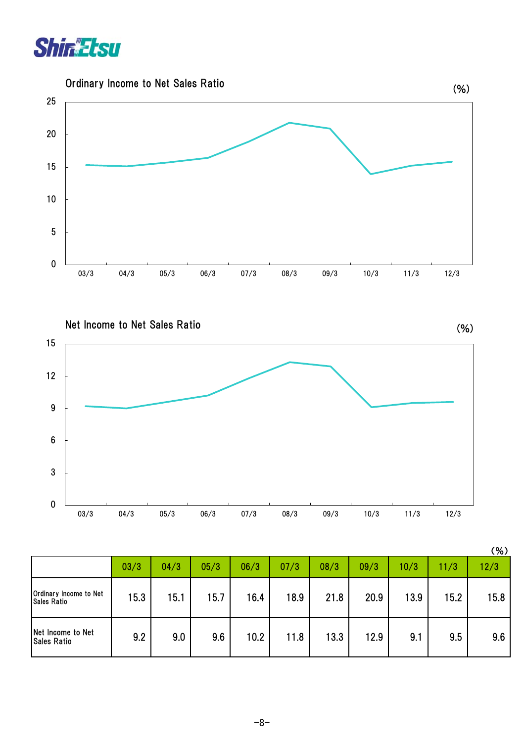



Net Income to Net Sales Ratio

(%)



|                                              |      |      |      |      |      |      |      |      |      | (% ) |
|----------------------------------------------|------|------|------|------|------|------|------|------|------|------|
|                                              | 03/3 | 04/3 | 05/3 | 06/3 | 07/3 | 08/3 | 09/3 | 10/3 | 11/3 | 12/3 |
| Ordinary Income to Net<br><b>Sales Ratio</b> | 15.3 | 15.1 | 15.7 | 16.4 | 18.9 | 21.8 | 20.9 | 13.9 | 15.2 | 15.8 |
| Net Income to Net<br><b>Sales Ratio</b>      | 9.2  | 9.0  | 9.6  | 10.2 | 11.8 | 13.3 | 12.9 | 9.1  | 9.5  | 9.6  |

-8-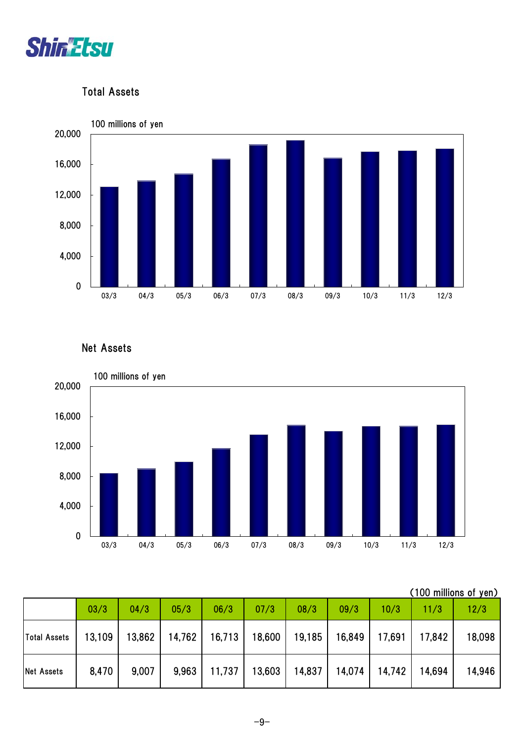

#### Total Assets



Net Assets



| (100 millions of yen) |  |
|-----------------------|--|
|                       |  |

|                   | 03/3   | 04/3   | 05/3  | 06/3                                       | 07/3 | 08/3            | 09/3   | 10/3   | 11/3          | 12/3   |
|-------------------|--------|--------|-------|--------------------------------------------|------|-----------------|--------|--------|---------------|--------|
| Total Assets      | 13,109 | 13,862 |       | 14,762   16,713   18,600   19,185   16,849 |      |                 |        | 17,691 | 17,842        | 18,098 |
| <b>Net Assets</b> | 8,470  | 9,007  | 9,963 | 11,737                                     |      | 13,603   14,837 | 14,074 |        | 14,742 14,694 | 14,946 |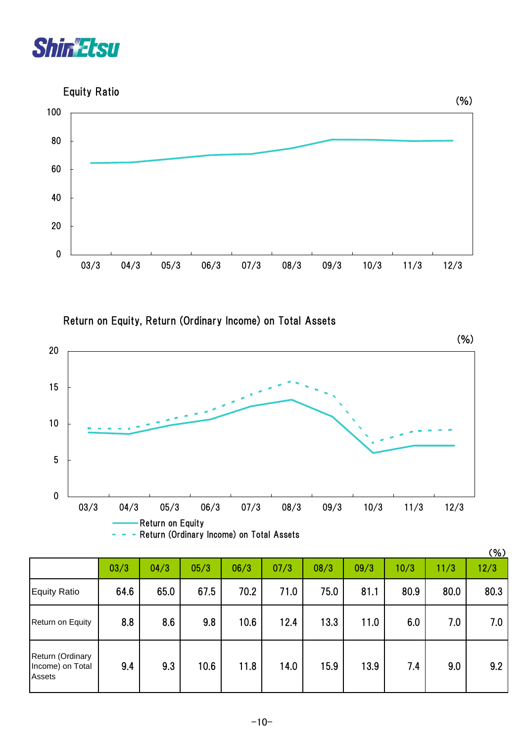

Equity Ratio



Return on Equity, Return (Ordinary Income) on Total Assets



|                                                |      |      |      |      |      |      |      |      | (%)  |      |
|------------------------------------------------|------|------|------|------|------|------|------|------|------|------|
|                                                | 03/3 | 04/3 | 05/3 | 06/3 | 07/3 | 08/3 | 09/3 | 10/3 | 11/3 | 12/3 |
| <b>Equity Ratio</b>                            | 64.6 | 65.0 | 67.5 | 70.2 | 71.0 | 75.0 | 81.1 | 80.9 | 80.0 | 80.3 |
| Return on Equity                               | 8.8  | 8.6  | 9.8  | 10.6 | 12.4 | 13.3 | 11.0 | 6.0  | 7.0  | 7.0  |
| Return (Ordinary<br>Income) on Total<br>Assets | 9.4  | 9.3  | 10.6 | 11.8 | 14.0 | 15.9 | 13.9 | 7.4  | 9.0  | 9.2  |